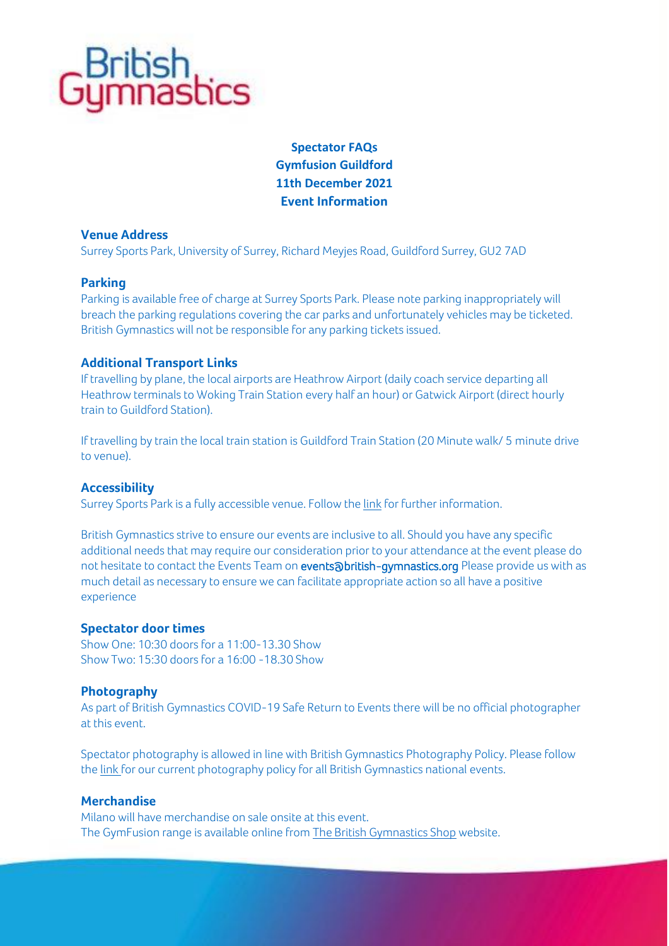

**Spectator FAQs Gymfusion Guildford 11th December 2021 Event Information**

#### **Venue Address**

Surrey Sports Park, University of Surrey, Richard Meyjes Road, Guildford Surrey, GU2 7AD

#### **Parking**

Parking is available free of charge at Surrey Sports Park. Please note parking inappropriately will breach the parking regulations covering the car parks and unfortunately vehicles may be ticketed. British Gymnastics will not be responsible for any parking tickets issued.

#### **Additional Transport Links**

If travelling by plane, the local airports are Heathrow Airport (daily coach service departing all Heathrow terminals to Woking Train Station every half an hour) or Gatwick Airport (direct hourly train to Guildford Station).

If travelling by train the local train station is Guildford Train Station (20 Minute walk/ 5 minute drive to venue).

#### **Accessibility**

Surrey Sports Park is a fully accessible venue. Follow th[e link](https://www.surreysportspark.co.uk/home/visitor-information/accessibility/) for further information.

British Gymnastics strive to ensure our events are inclusive to all. Should you have any specific additional needs that may require our consideration prior to your attendance at the event please do not hesitate to contact the Events Team o[n events@british-gymnastics.org](mailto:events@british-gymnastics.org) Please provide us with as much detail as necessary to ensure we can facilitate appropriate action so all have a positive experience

#### **Spectator door times**

Show One: 10:30 doors for a 11:00-13.30 Show Show Two: 15:30 doors for a 16:00 -18.30 Show

#### **Photography**

As part of British Gymnastics COVID-19 Safe Return to Events there will be no official photographer at this event.

Spectator photography is allowed in line with British Gymnastics Photography Policy. Please follow th[e link](https://www.british-gymnastics.org/governance) for our current photography policy for all British Gymnastics national events.

#### **Merchandise**

Milano will have merchandise on sale onsite at this event. The GymFusion range is available online fro[m The British Gymnastics Shop](https://www.british-gymnastics.org/shop/FACT-Finder/result?query=gymfusion&channel=uk&sid=ir7pr5r4mkqp260jkfpthsibb7ir7p) website.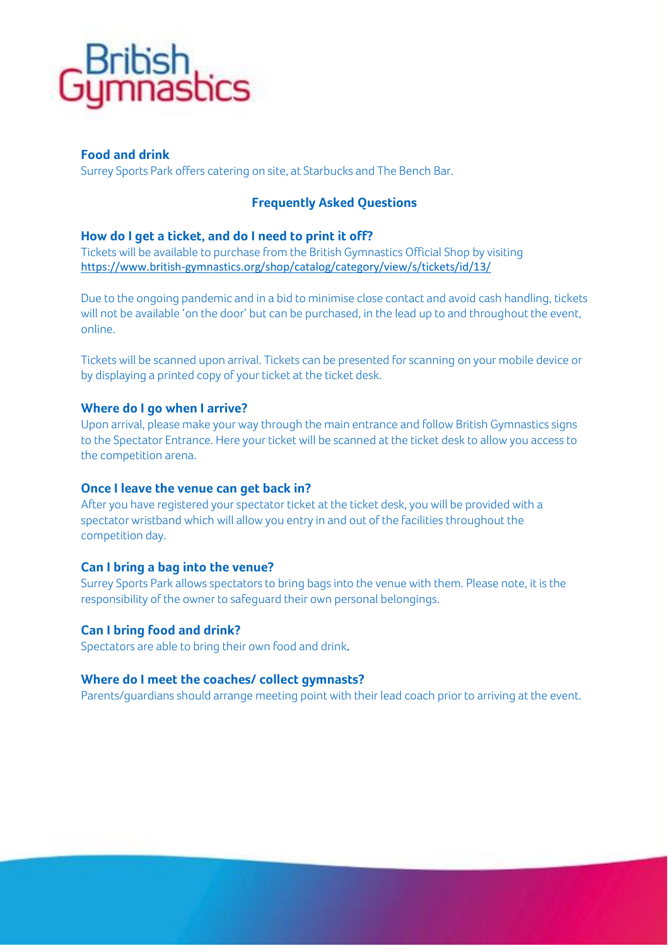# Bribish<br>**umnasbics**

## **Food and drink**

Surrey Sports Park offers catering on site, at Starbucks and The Bench Bar.

# **Frequently Asked Questions**

## **How do I get a ticket, and do I need to print it off?**

Tickets will be available to purchase from the British Gymnastics Official Shop by visiting <https://www.british-gymnastics.org/shop/catalog/category/view/s/tickets/id/13/>

Due to the ongoing pandemic and in a bid to minimise close contact and avoid cash handling, tickets will not be available 'on the door' but can be purchased, in the lead up to and throughout the event, online.

Tickets will be scanned upon arrival. Tickets can be presented for scanning on your mobile device or by displaying a printed copy of your ticket at the ticket desk.

## **Where do I go when I arrive?**

Upon arrival, please make your way through the main entrance and follow British Gymnastics signs to the Spectator Entrance. Here your ticket will be scanned at the ticket desk to allow you access to the competition arena.

## **Once I leave the venue can get back in?**

After you have registered your spectator ticket at the ticket desk, you will be provided with a spectator wristband which will allow you entry in and out of the facilities throughout the competition day.

## **Can I bring a bag into the venue?**

Surrey Sports Park allows spectators to bring bags into the venue with them. Please note, it is the responsibility of the owner to safeguard their own personal belongings.

# **Can I bring food and drink?**

Spectators are able to bring their own food and drink.

# **Where do I meet the coaches/ collect gymnasts?**

Parents/guardians should arrange meeting point with their lead coach prior to arriving at the event.